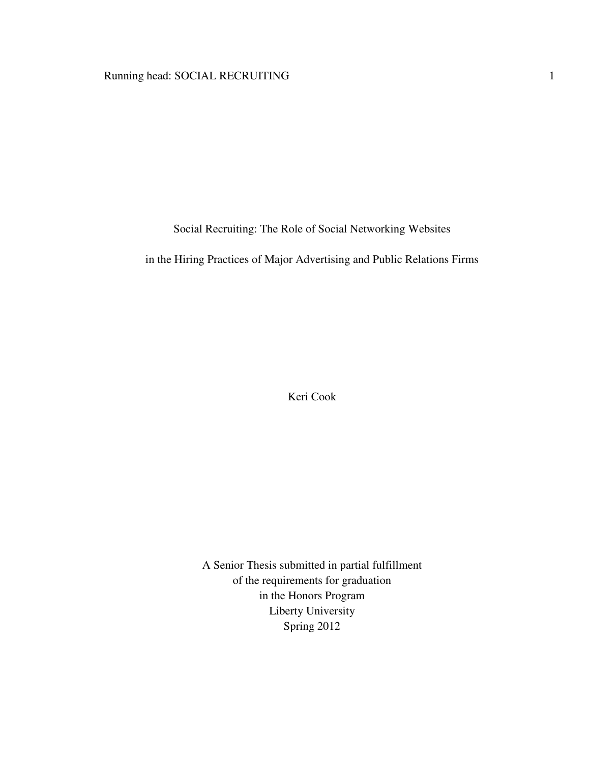# Running head: SOCIAL RECRUITING 1

Social Recruiting: The Role of Social Networking Websites

in the Hiring Practices of Major Advertising and Public Relations Firms

Keri Cook

A Senior Thesis submitted in partial fulfillment of the requirements for graduation in the Honors Program Liberty University Spring 2012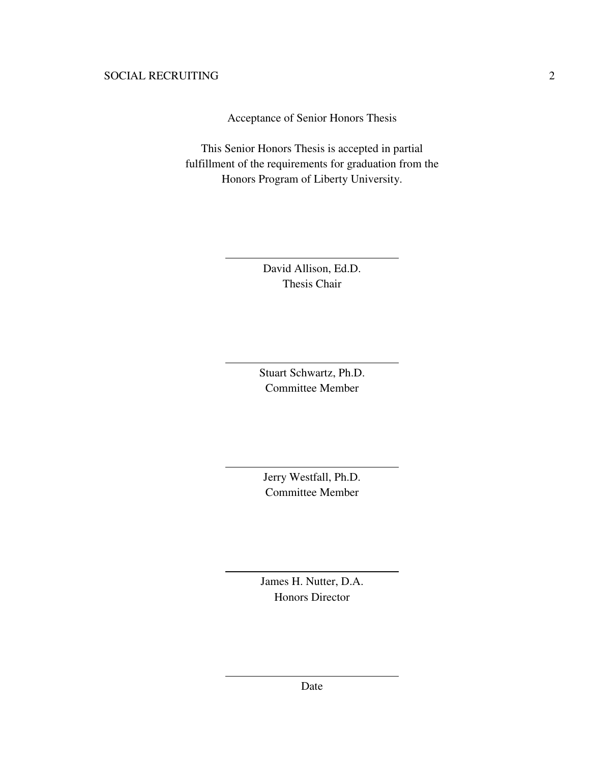Acceptance of Senior Honors Thesis

This Senior Honors Thesis is accepted in partial fulfillment of the requirements for graduation from the Honors Program of Liberty University.

> David Allison, Ed.D. Thesis Chair

 $\overline{a}$ 

 $\overline{a}$ 

 $\overline{a}$ 

 $\overline{a}$ 

 $\overline{a}$ 

Stuart Schwartz, Ph.D. Committee Member

Jerry Westfall, Ph.D. Committee Member

James H. Nutter, D.A. Honors Director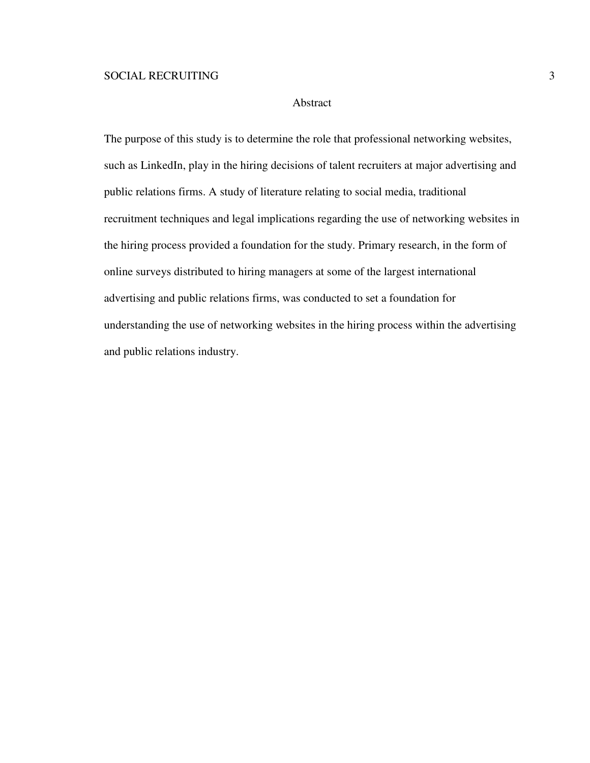### Abstract

The purpose of this study is to determine the role that professional networking websites, such as LinkedIn, play in the hiring decisions of talent recruiters at major advertising and public relations firms. A study of literature relating to social media, traditional recruitment techniques and legal implications regarding the use of networking websites in the hiring process provided a foundation for the study. Primary research, in the form of online surveys distributed to hiring managers at some of the largest international advertising and public relations firms, was conducted to set a foundation for understanding the use of networking websites in the hiring process within the advertising and public relations industry.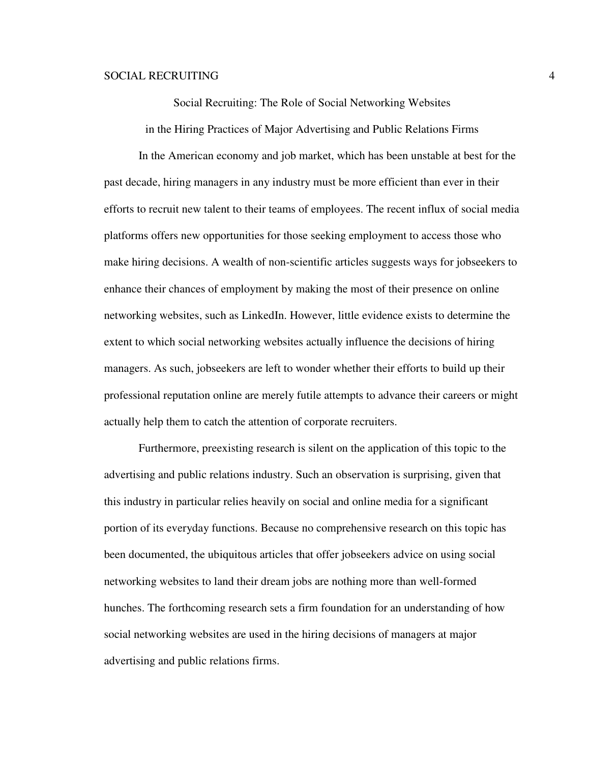Social Recruiting: The Role of Social Networking Websites

in the Hiring Practices of Major Advertising and Public Relations Firms

 In the American economy and job market, which has been unstable at best for the past decade, hiring managers in any industry must be more efficient than ever in their efforts to recruit new talent to their teams of employees. The recent influx of social media platforms offers new opportunities for those seeking employment to access those who make hiring decisions. A wealth of non-scientific articles suggests ways for jobseekers to enhance their chances of employment by making the most of their presence on online networking websites, such as LinkedIn. However, little evidence exists to determine the extent to which social networking websites actually influence the decisions of hiring managers. As such, jobseekers are left to wonder whether their efforts to build up their professional reputation online are merely futile attempts to advance their careers or might actually help them to catch the attention of corporate recruiters.

Furthermore, preexisting research is silent on the application of this topic to the advertising and public relations industry. Such an observation is surprising, given that this industry in particular relies heavily on social and online media for a significant portion of its everyday functions. Because no comprehensive research on this topic has been documented, the ubiquitous articles that offer jobseekers advice on using social networking websites to land their dream jobs are nothing more than well-formed hunches. The forthcoming research sets a firm foundation for an understanding of how social networking websites are used in the hiring decisions of managers at major advertising and public relations firms.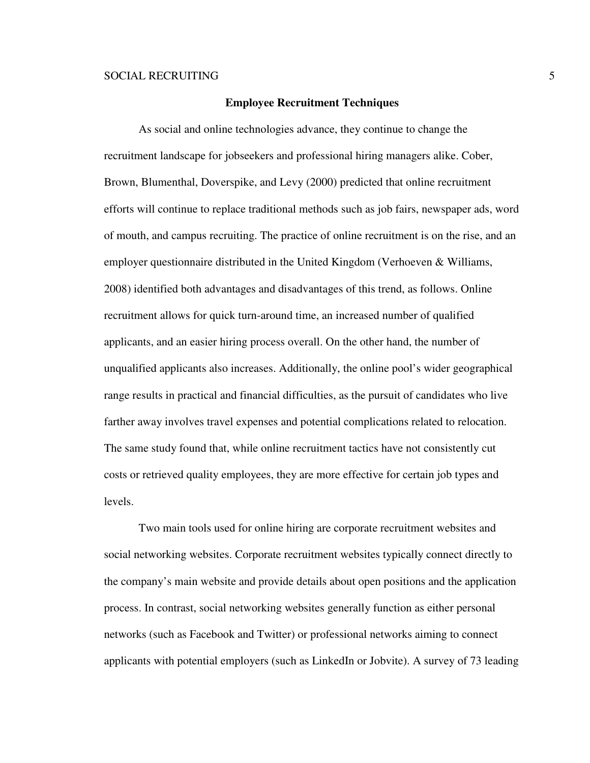### **Employee Recruitment Techniques**

 As social and online technologies advance, they continue to change the recruitment landscape for jobseekers and professional hiring managers alike. Cober, Brown, Blumenthal, Doverspike, and Levy (2000) predicted that online recruitment efforts will continue to replace traditional methods such as job fairs, newspaper ads, word of mouth, and campus recruiting. The practice of online recruitment is on the rise, and an employer questionnaire distributed in the United Kingdom (Verhoeven & Williams, 2008) identified both advantages and disadvantages of this trend, as follows. Online recruitment allows for quick turn-around time, an increased number of qualified applicants, and an easier hiring process overall. On the other hand, the number of unqualified applicants also increases. Additionally, the online pool's wider geographical range results in practical and financial difficulties, as the pursuit of candidates who live farther away involves travel expenses and potential complications related to relocation. The same study found that, while online recruitment tactics have not consistently cut costs or retrieved quality employees, they are more effective for certain job types and levels.

Two main tools used for online hiring are corporate recruitment websites and social networking websites. Corporate recruitment websites typically connect directly to the company's main website and provide details about open positions and the application process. In contrast, social networking websites generally function as either personal networks (such as Facebook and Twitter) or professional networks aiming to connect applicants with potential employers (such as LinkedIn or Jobvite). A survey of 73 leading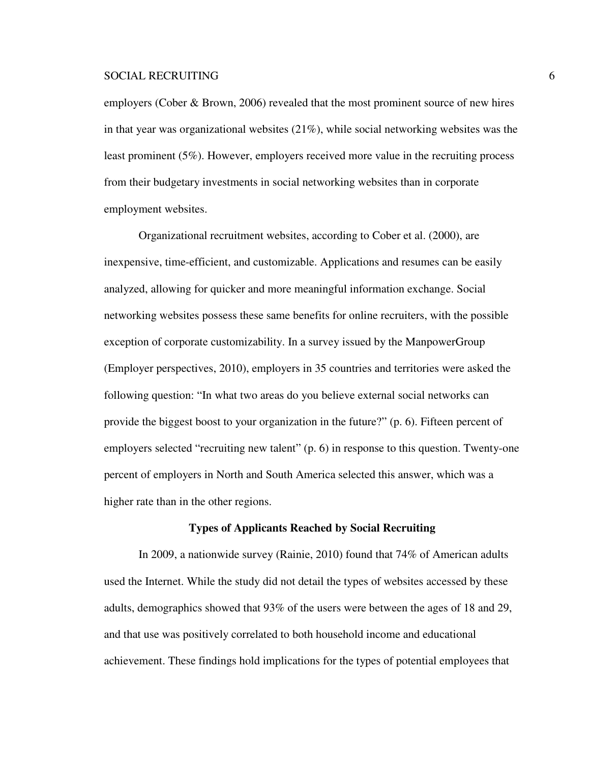employers (Cober & Brown, 2006) revealed that the most prominent source of new hires in that year was organizational websites  $(21\%)$ , while social networking websites was the least prominent (5%). However, employers received more value in the recruiting process from their budgetary investments in social networking websites than in corporate employment websites.

Organizational recruitment websites, according to Cober et al. (2000), are inexpensive, time-efficient, and customizable. Applications and resumes can be easily analyzed, allowing for quicker and more meaningful information exchange. Social networking websites possess these same benefits for online recruiters, with the possible exception of corporate customizability. In a survey issued by the ManpowerGroup (Employer perspectives, 2010), employers in 35 countries and territories were asked the following question: "In what two areas do you believe external social networks can provide the biggest boost to your organization in the future?" (p. 6). Fifteen percent of employers selected "recruiting new talent" (p. 6) in response to this question. Twenty-one percent of employers in North and South America selected this answer, which was a higher rate than in the other regions.

#### **Types of Applicants Reached by Social Recruiting**

 In 2009, a nationwide survey (Rainie, 2010) found that 74% of American adults used the Internet. While the study did not detail the types of websites accessed by these adults, demographics showed that 93% of the users were between the ages of 18 and 29, and that use was positively correlated to both household income and educational achievement. These findings hold implications for the types of potential employees that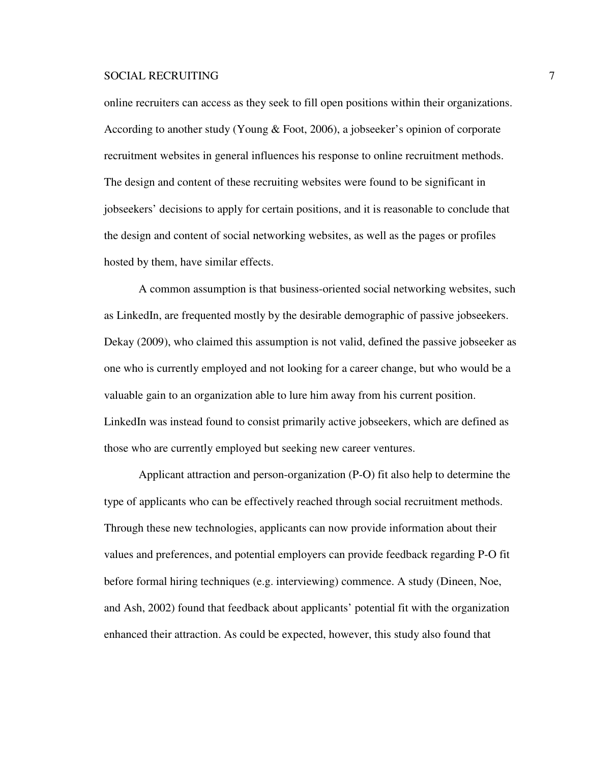online recruiters can access as they seek to fill open positions within their organizations. According to another study (Young & Foot, 2006), a jobseeker's opinion of corporate recruitment websites in general influences his response to online recruitment methods. The design and content of these recruiting websites were found to be significant in jobseekers' decisions to apply for certain positions, and it is reasonable to conclude that the design and content of social networking websites, as well as the pages or profiles hosted by them, have similar effects.

 A common assumption is that business-oriented social networking websites, such as LinkedIn, are frequented mostly by the desirable demographic of passive jobseekers. Dekay (2009), who claimed this assumption is not valid, defined the passive jobseeker as one who is currently employed and not looking for a career change, but who would be a valuable gain to an organization able to lure him away from his current position. LinkedIn was instead found to consist primarily active jobseekers, which are defined as those who are currently employed but seeking new career ventures.

 Applicant attraction and person-organization (P-O) fit also help to determine the type of applicants who can be effectively reached through social recruitment methods. Through these new technologies, applicants can now provide information about their values and preferences, and potential employers can provide feedback regarding P-O fit before formal hiring techniques (e.g. interviewing) commence. A study (Dineen, Noe, and Ash, 2002) found that feedback about applicants' potential fit with the organization enhanced their attraction. As could be expected, however, this study also found that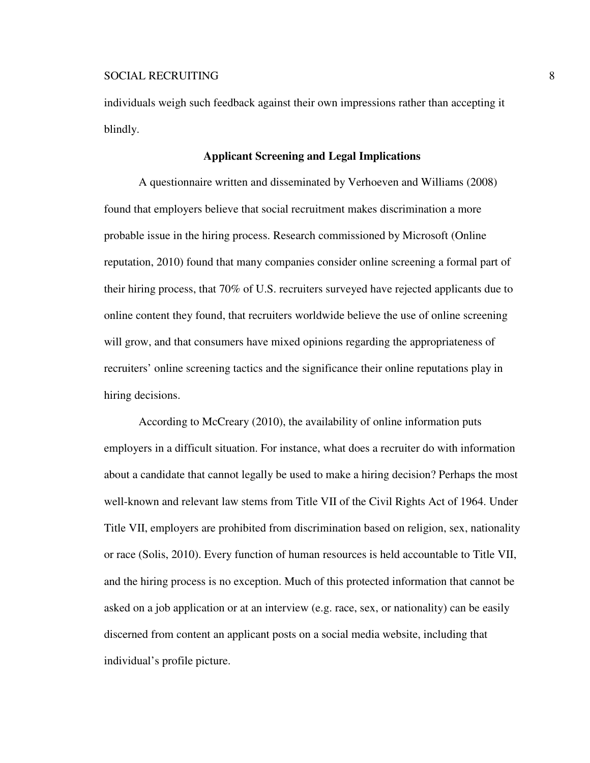individuals weigh such feedback against their own impressions rather than accepting it blindly.

### **Applicant Screening and Legal Implications**

 A questionnaire written and disseminated by Verhoeven and Williams (2008) found that employers believe that social recruitment makes discrimination a more probable issue in the hiring process. Research commissioned by Microsoft (Online reputation, 2010) found that many companies consider online screening a formal part of their hiring process, that 70% of U.S. recruiters surveyed have rejected applicants due to online content they found, that recruiters worldwide believe the use of online screening will grow, and that consumers have mixed opinions regarding the appropriateness of recruiters' online screening tactics and the significance their online reputations play in hiring decisions.

 According to McCreary (2010), the availability of online information puts employers in a difficult situation. For instance, what does a recruiter do with information about a candidate that cannot legally be used to make a hiring decision? Perhaps the most well-known and relevant law stems from Title VII of the Civil Rights Act of 1964. Under Title VII, employers are prohibited from discrimination based on religion, sex, nationality or race (Solis, 2010). Every function of human resources is held accountable to Title VII, and the hiring process is no exception. Much of this protected information that cannot be asked on a job application or at an interview (e.g. race, sex, or nationality) can be easily discerned from content an applicant posts on a social media website, including that individual's profile picture.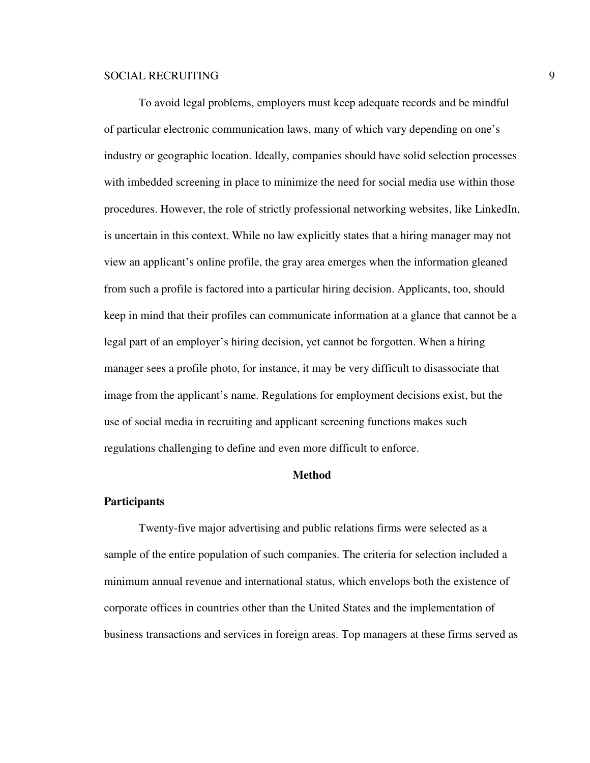To avoid legal problems, employers must keep adequate records and be mindful of particular electronic communication laws, many of which vary depending on one's industry or geographic location. Ideally, companies should have solid selection processes with imbedded screening in place to minimize the need for social media use within those procedures. However, the role of strictly professional networking websites, like LinkedIn, is uncertain in this context. While no law explicitly states that a hiring manager may not view an applicant's online profile, the gray area emerges when the information gleaned from such a profile is factored into a particular hiring decision. Applicants, too, should keep in mind that their profiles can communicate information at a glance that cannot be a legal part of an employer's hiring decision, yet cannot be forgotten. When a hiring manager sees a profile photo, for instance, it may be very difficult to disassociate that image from the applicant's name. Regulations for employment decisions exist, but the use of social media in recruiting and applicant screening functions makes such regulations challenging to define and even more difficult to enforce.

### **Method**

#### **Participants**

Twenty-five major advertising and public relations firms were selected as a sample of the entire population of such companies. The criteria for selection included a minimum annual revenue and international status, which envelops both the existence of corporate offices in countries other than the United States and the implementation of business transactions and services in foreign areas. Top managers at these firms served as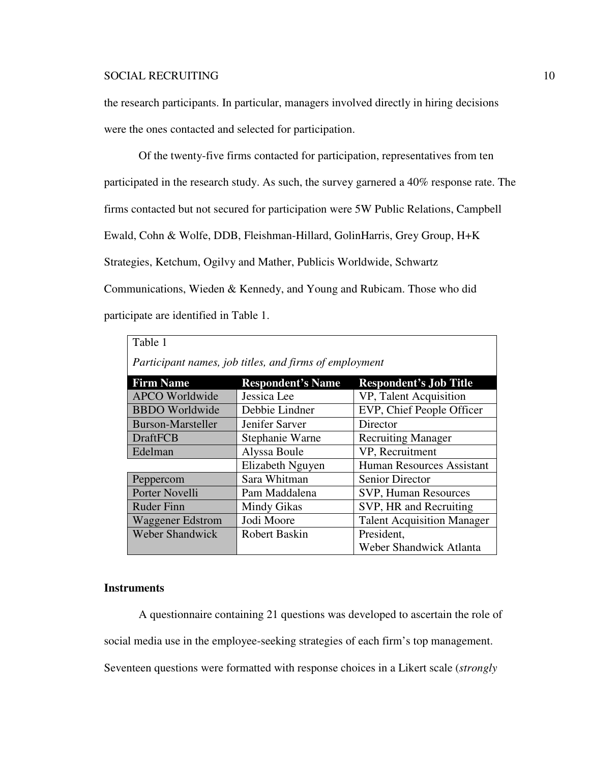the research participants. In particular, managers involved directly in hiring decisions were the ones contacted and selected for participation.

Of the twenty-five firms contacted for participation, representatives from ten participated in the research study. As such, the survey garnered a 40% response rate. The firms contacted but not secured for participation were 5W Public Relations, Campbell Ewald, Cohn & Wolfe, DDB, Fleishman-Hillard, GolinHarris, Grey Group, H+K Strategies, Ketchum, Ogilvy and Mather, Publicis Worldwide, Schwartz Communications, Wieden & Kennedy, and Young and Rubicam. Those who did participate are identified in Table 1.

| Table 1                                                |                          |                                   |  |  |  |
|--------------------------------------------------------|--------------------------|-----------------------------------|--|--|--|
| Participant names, job titles, and firms of employment |                          |                                   |  |  |  |
| <b>Firm Name</b>                                       | <b>Respondent's Name</b> | <b>Respondent's Job Title</b>     |  |  |  |
| <b>APCO</b> Worldwide                                  | Jessica Lee              | VP, Talent Acquisition            |  |  |  |
| <b>BBDO</b> Worldwide                                  | Debbie Lindner           | EVP, Chief People Officer         |  |  |  |
| <b>Burson-Marsteller</b>                               | Jenifer Sarver           | Director                          |  |  |  |
| <b>DraftFCB</b>                                        | Stephanie Warne          | <b>Recruiting Manager</b>         |  |  |  |
| Edelman                                                | Alyssa Boule             | VP, Recruitment                   |  |  |  |
|                                                        | Elizabeth Nguyen         | <b>Human Resources Assistant</b>  |  |  |  |
| Peppercom                                              | Sara Whitman             | <b>Senior Director</b>            |  |  |  |
| Porter Novelli                                         | Pam Maddalena            | <b>SVP, Human Resources</b>       |  |  |  |
| <b>Ruder Finn</b>                                      | Mindy Gikas              | SVP, HR and Recruiting            |  |  |  |
| <b>Waggener Edstrom</b>                                | Jodi Moore               | <b>Talent Acquisition Manager</b> |  |  |  |
| <b>Weber Shandwick</b>                                 | <b>Robert Baskin</b>     | President,                        |  |  |  |
|                                                        |                          | Weber Shandwick Atlanta           |  |  |  |

# **Instruments**

A questionnaire containing 21 questions was developed to ascertain the role of social media use in the employee-seeking strategies of each firm's top management. Seventeen questions were formatted with response choices in a Likert scale (*strongly*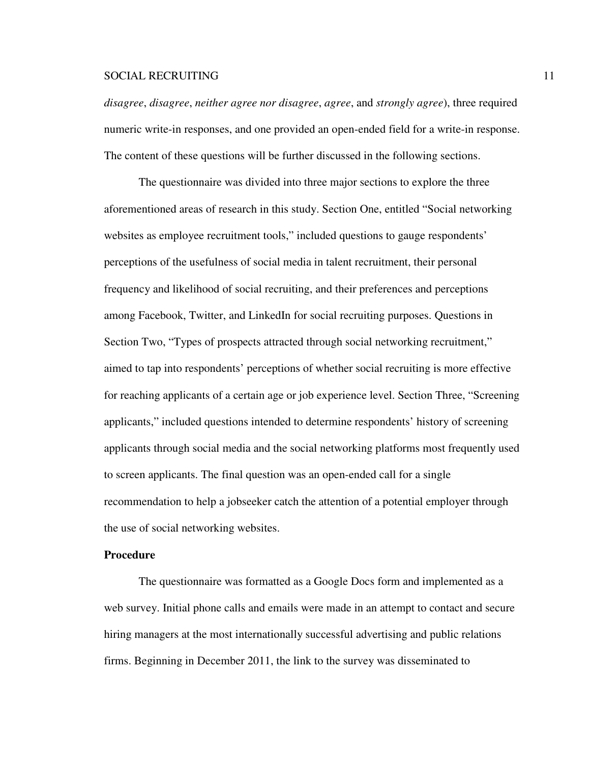*disagree*, *disagree*, *neither agree nor disagree*, *agree*, and *strongly agree*), three required numeric write-in responses, and one provided an open-ended field for a write-in response. The content of these questions will be further discussed in the following sections.

The questionnaire was divided into three major sections to explore the three aforementioned areas of research in this study. Section One, entitled "Social networking websites as employee recruitment tools," included questions to gauge respondents' perceptions of the usefulness of social media in talent recruitment, their personal frequency and likelihood of social recruiting, and their preferences and perceptions among Facebook, Twitter, and LinkedIn for social recruiting purposes. Questions in Section Two, "Types of prospects attracted through social networking recruitment," aimed to tap into respondents' perceptions of whether social recruiting is more effective for reaching applicants of a certain age or job experience level. Section Three, "Screening applicants," included questions intended to determine respondents' history of screening applicants through social media and the social networking platforms most frequently used to screen applicants. The final question was an open-ended call for a single recommendation to help a jobseeker catch the attention of a potential employer through the use of social networking websites.

### **Procedure**

The questionnaire was formatted as a Google Docs form and implemented as a web survey. Initial phone calls and emails were made in an attempt to contact and secure hiring managers at the most internationally successful advertising and public relations firms. Beginning in December 2011, the link to the survey was disseminated to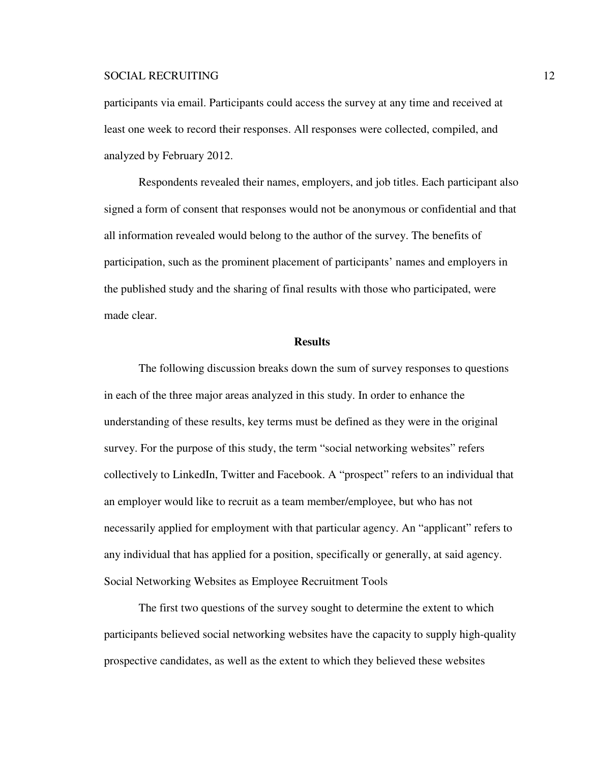participants via email. Participants could access the survey at any time and received at least one week to record their responses. All responses were collected, compiled, and analyzed by February 2012.

Respondents revealed their names, employers, and job titles. Each participant also signed a form of consent that responses would not be anonymous or confidential and that all information revealed would belong to the author of the survey. The benefits of participation, such as the prominent placement of participants' names and employers in the published study and the sharing of final results with those who participated, were made clear.

#### **Results**

The following discussion breaks down the sum of survey responses to questions in each of the three major areas analyzed in this study. In order to enhance the understanding of these results, key terms must be defined as they were in the original survey. For the purpose of this study, the term "social networking websites" refers collectively to LinkedIn, Twitter and Facebook. A "prospect" refers to an individual that an employer would like to recruit as a team member/employee, but who has not necessarily applied for employment with that particular agency. An "applicant" refers to any individual that has applied for a position, specifically or generally, at said agency. Social Networking Websites as Employee Recruitment Tools

 The first two questions of the survey sought to determine the extent to which participants believed social networking websites have the capacity to supply high-quality prospective candidates, as well as the extent to which they believed these websites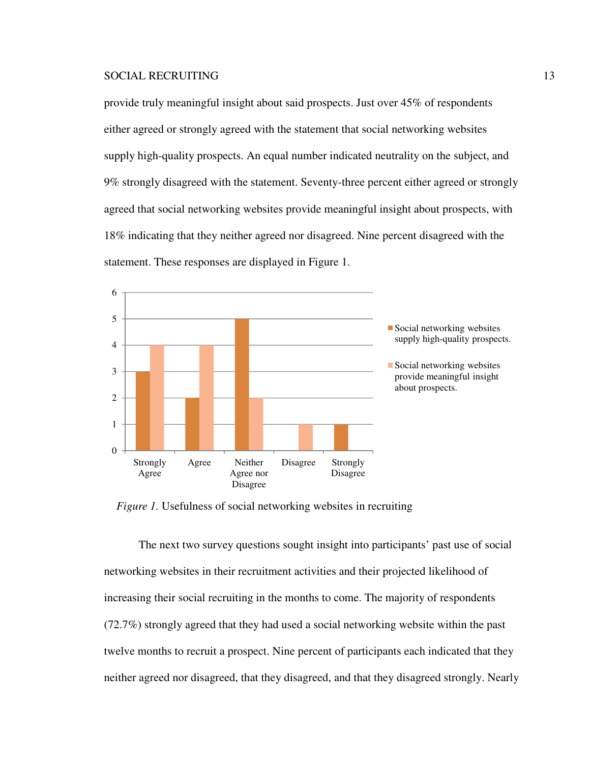provide truly meaningful insight about said prospects. Just over 45% of respondents either agreed or strongly agreed with the statement that social networking websites supply high-quality prospects. An equal number indicated neutrality on the subject, and 9% strongly disagreed with the statement. Seventy-three percent either agreed or strongly agreed that social networking websites provide meaningful insight about prospects, with 18% indicating that they neither agreed nor disagreed. Nine percent disagreed with the statement. These responses are displayed in Figure 1.



*Figure 1.* Usefulness of social networking websites in recruiting

The next two survey questions sought insight into participants' past use of social networking websites in their recruitment activities and their projected likelihood of increasing their social recruiting in the months to come. The majority of respondents (72.7%) strongly agreed that they had used a social networking website within the past twelve months to recruit a prospect. Nine percent of participants each indicated that they neither agreed nor disagreed, that they disagreed, and that they disagreed strongly. Nearly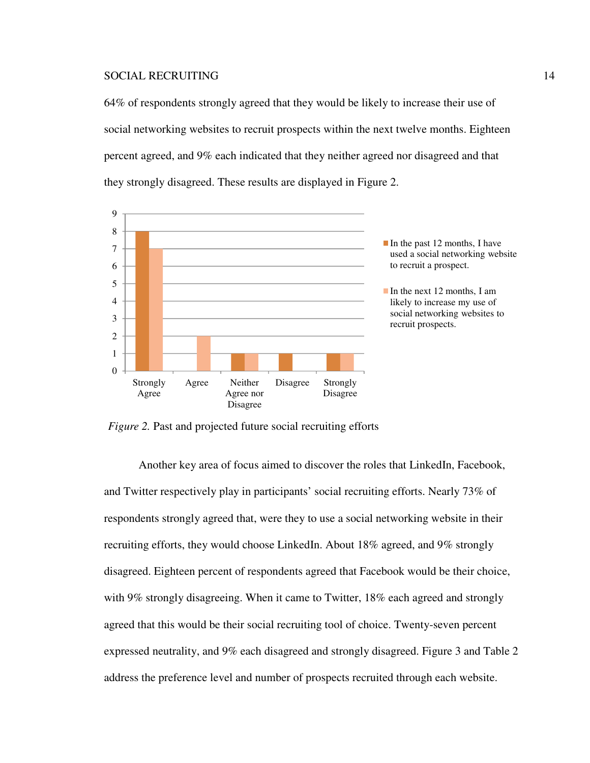64% of respondents strongly agreed that they would be likely to increase their use of social networking websites to recruit prospects within the next twelve months. Eighteen percent agreed, and 9% each indicated that they neither agreed nor disagreed and that they strongly disagreed. These results are displayed in Figure 2.



*Figure 2.* Past and projected future social recruiting efforts

Another key area of focus aimed to discover the roles that LinkedIn, Facebook, and Twitter respectively play in participants' social recruiting efforts. Nearly 73% of respondents strongly agreed that, were they to use a social networking website in their recruiting efforts, they would choose LinkedIn. About 18% agreed, and 9% strongly disagreed. Eighteen percent of respondents agreed that Facebook would be their choice, with 9% strongly disagreeing. When it came to Twitter, 18% each agreed and strongly agreed that this would be their social recruiting tool of choice. Twenty-seven percent expressed neutrality, and 9% each disagreed and strongly disagreed. Figure 3 and Table 2 address the preference level and number of prospects recruited through each website.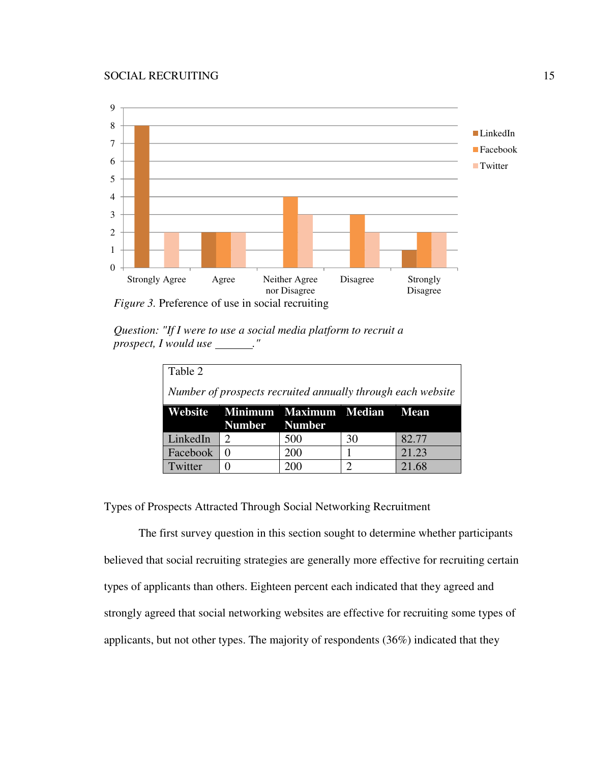

*Question: "If I were to use a social media platform to recruit a prospect, I would use* \_\_\_\_\_\_."

| Table 2                                                     |                             |                                     |    |       |  |  |
|-------------------------------------------------------------|-----------------------------|-------------------------------------|----|-------|--|--|
| Number of prospects recruited annually through each website |                             |                                     |    |       |  |  |
|                                                             | Number Number               | Website Minimum Maximum Median Mean |    |       |  |  |
| LinkedIn                                                    | $\mathcal{D}_{\mathcal{L}}$ | 500                                 | 30 | 82.77 |  |  |
| Facebook                                                    | 0                           | 200                                 |    | 21.23 |  |  |
| Twitter                                                     |                             | 200                                 | ာ  | 21.68 |  |  |

Types of Prospects Attracted Through Social Networking Recruitment

The first survey question in this section sought to determine whether participants believed that social recruiting strategies are generally more effective for recruiting certain types of applicants than others. Eighteen percent each indicated that they agreed and strongly agreed that social networking websites are effective for recruiting some types of applicants, but not other types. The majority of respondents (36%) indicated that they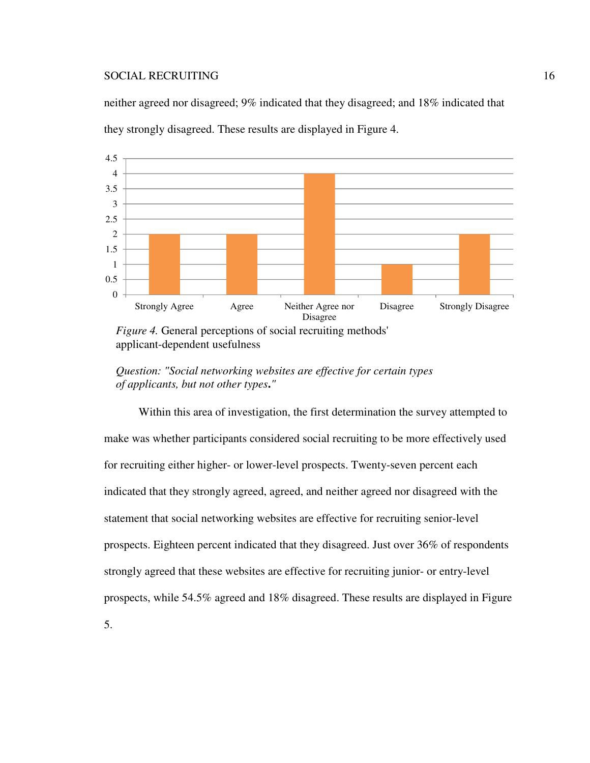neither agreed nor disagreed; 9% indicated that they disagreed; and 18% indicated that they strongly disagreed. These results are displayed in Figure 4.



applicant-dependent usefulness

*Question: "Social networking websites are effective for certain types of applicants, but not other types***.***"*

Within this area of investigation, the first determination the survey attempted to make was whether participants considered social recruiting to be more effectively used for recruiting either higher- or lower-level prospects. Twenty-seven percent each indicated that they strongly agreed, agreed, and neither agreed nor disagreed with the statement that social networking websites are effective for recruiting senior-level prospects. Eighteen percent indicated that they disagreed. Just over 36% of respondents strongly agreed that these websites are effective for recruiting junior- or entry-level prospects, while 54.5% agreed and 18% disagreed. These results are displayed in Figure 5.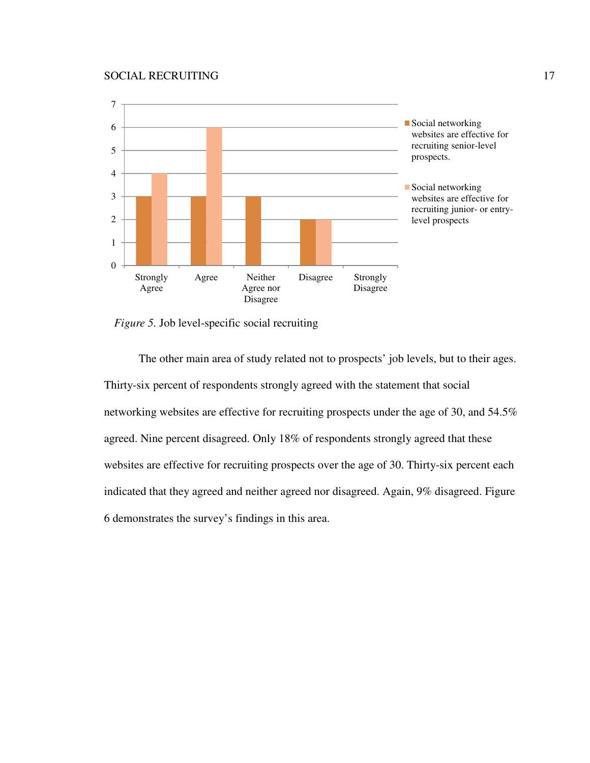

*Figure 5.* Job level-specific social recruiting

The other main area of study related not to prospects' job levels, but to their ages. Thirty-six percent of respondents strongly agreed with the statement that social networking websites are effective for recruiting prospects under the age of 30, and 54.5% agreed. Nine percent disagreed. Only 18% of respondents strongly agreed that these websites are effective for recruiting prospects over the age of 30. Thirty-six percent each indicated that they agreed and neither agreed nor disagreed. Again, 9% disagreed. Figure 6 demonstrates the survey's findings in this area.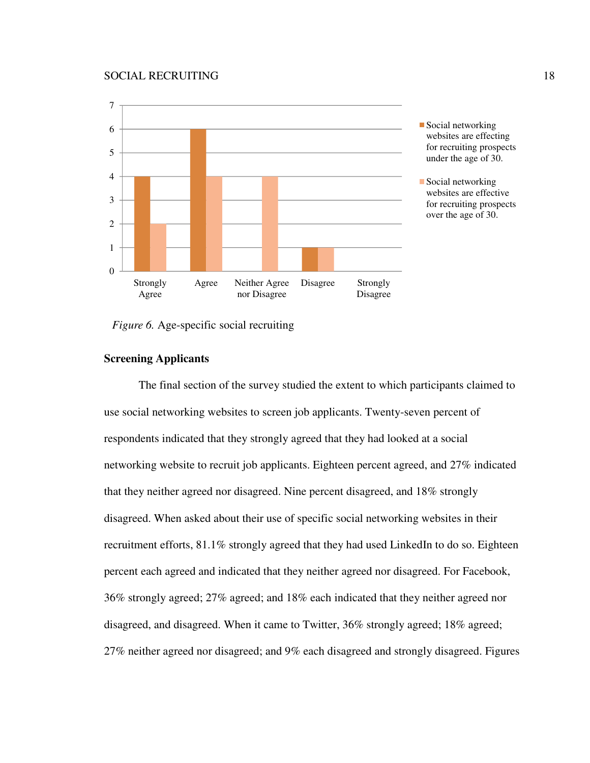

*Figure 6.* Age-specific social recruiting

### **Screening Applicants**

The final section of the survey studied the extent to which participants claimed to use social networking websites to screen job applicants. Twenty-seven percent of respondents indicated that they strongly agreed that they had looked at a social networking website to recruit job applicants. Eighteen percent agreed, and 27% indicated that they neither agreed nor disagreed. Nine percent disagreed, and 18% strongly disagreed. When asked about their use of specific social networking websites in their recruitment efforts, 81.1% strongly agreed that they had used LinkedIn to do so. Eighteen percent each agreed and indicated that they neither agreed nor disagreed. For Facebook, 36% strongly agreed; 27% agreed; and 18% each indicated that they neither agreed nor disagreed, and disagreed. When it came to Twitter, 36% strongly agreed; 18% agreed; 27% neither agreed nor disagreed; and 9% each disagreed and strongly disagreed. Figures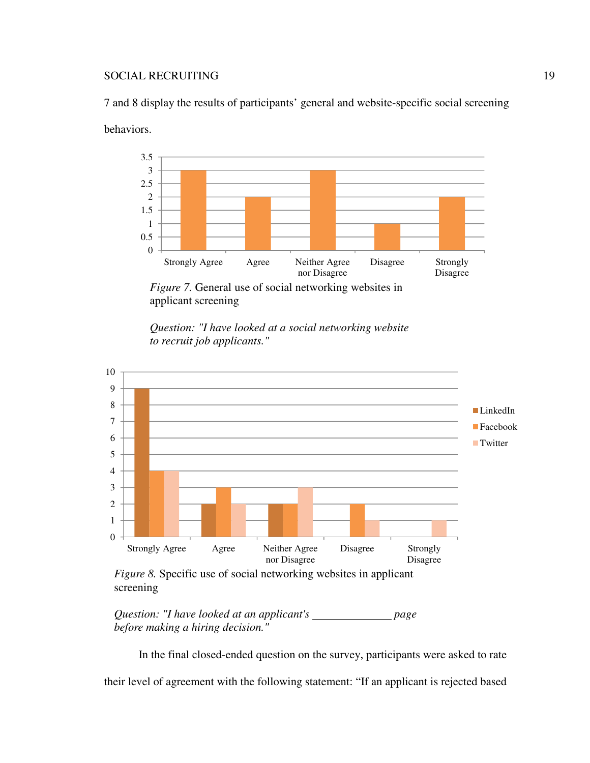7 and 8 display the results of participants' general and website-specific social screening behaviors.



*Figure 7.* General use of social networking websites in applicant screening





*Figure 8.* Specific use of social networking websites in applicant screening

*Question: "I have looked at an applicant's page before making a hiring decision."*

In the final closed-ended question on the survey, participants were asked to rate their level of agreement with the following statement: "If an applicant is rejected based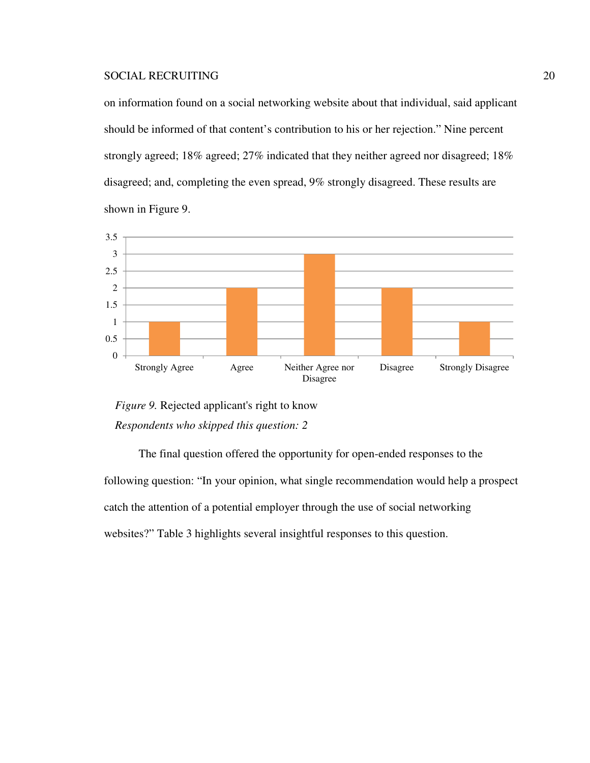on information found on a social networking website about that individual, said applicant should be informed of that content's contribution to his or her rejection." Nine percent strongly agreed; 18% agreed; 27% indicated that they neither agreed nor disagreed; 18% disagreed; and, completing the even spread, 9% strongly disagreed. These results are shown in Figure 9.



*Figure 9.* Rejected applicant's right to know *Respondents who skipped this question: 2*

The final question offered the opportunity for open-ended responses to the following question: "In your opinion, what single recommendation would help a prospect catch the attention of a potential employer through the use of social networking websites?" Table 3 highlights several insightful responses to this question.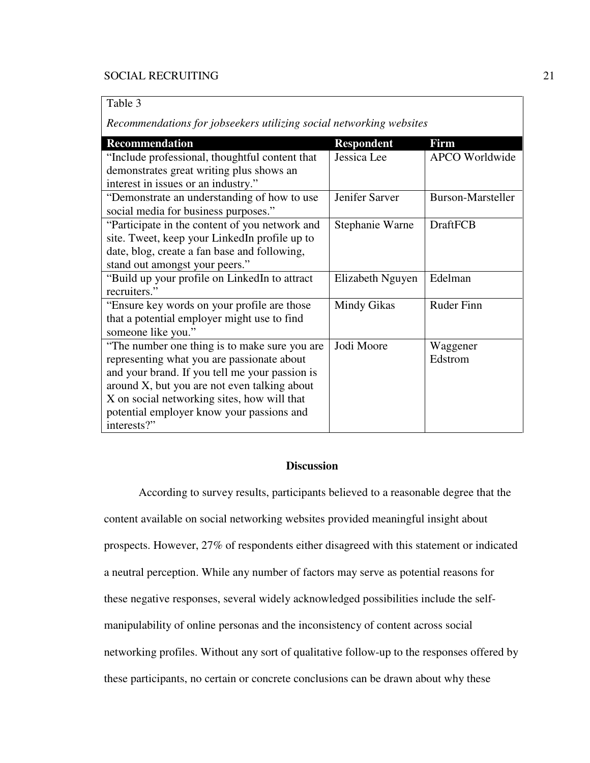Table 3

*Recommendations for jobseekers utilizing social networking websites* 

| <b>Recommendation</b>                          | <b>Respondent</b> | Firm                  |
|------------------------------------------------|-------------------|-----------------------|
| "Include professional, thoughtful content that | Jessica Lee       | <b>APCO</b> Worldwide |
| demonstrates great writing plus shows an       |                   |                       |
| interest in issues or an industry."            |                   |                       |
| "Demonstrate an understanding of how to use    | Jenifer Sarver    | Burson-Marsteller     |
| social media for business purposes."           |                   |                       |
| "Participate in the content of you network and | Stephanie Warne   | <b>DraftFCB</b>       |
| site. Tweet, keep your LinkedIn profile up to  |                   |                       |
| date, blog, create a fan base and following,   |                   |                       |
| stand out amongst your peers."                 |                   |                       |
| "Build up your profile on LinkedIn to attract  | Elizabeth Nguyen  | Edelman               |
| recruiters."                                   |                   |                       |
| "Ensure key words on your profile are those"   | Mindy Gikas       | <b>Ruder Finn</b>     |
| that a potential employer might use to find    |                   |                       |
| someone like you."                             |                   |                       |
| "The number one thing is to make sure you are  | Jodi Moore        | Waggener              |
| representing what you are passionate about     |                   | Edstrom               |
| and your brand. If you tell me your passion is |                   |                       |
| around X, but you are not even talking about   |                   |                       |
| X on social networking sites, how will that    |                   |                       |
| potential employer know your passions and      |                   |                       |
| interests?"                                    |                   |                       |

### **Discussion**

 According to survey results, participants believed to a reasonable degree that the content available on social networking websites provided meaningful insight about prospects. However, 27% of respondents either disagreed with this statement or indicated a neutral perception. While any number of factors may serve as potential reasons for these negative responses, several widely acknowledged possibilities include the selfmanipulability of online personas and the inconsistency of content across social networking profiles. Without any sort of qualitative follow-up to the responses offered by these participants, no certain or concrete conclusions can be drawn about why these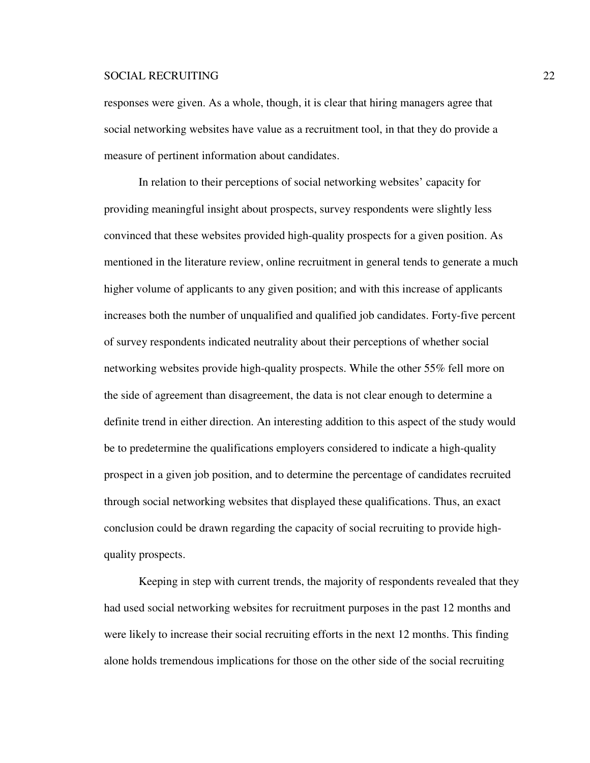responses were given. As a whole, though, it is clear that hiring managers agree that social networking websites have value as a recruitment tool, in that they do provide a measure of pertinent information about candidates.

In relation to their perceptions of social networking websites' capacity for providing meaningful insight about prospects, survey respondents were slightly less convinced that these websites provided high-quality prospects for a given position. As mentioned in the literature review, online recruitment in general tends to generate a much higher volume of applicants to any given position; and with this increase of applicants increases both the number of unqualified and qualified job candidates. Forty-five percent of survey respondents indicated neutrality about their perceptions of whether social networking websites provide high-quality prospects. While the other 55% fell more on the side of agreement than disagreement, the data is not clear enough to determine a definite trend in either direction. An interesting addition to this aspect of the study would be to predetermine the qualifications employers considered to indicate a high-quality prospect in a given job position, and to determine the percentage of candidates recruited through social networking websites that displayed these qualifications. Thus, an exact conclusion could be drawn regarding the capacity of social recruiting to provide highquality prospects.

Keeping in step with current trends, the majority of respondents revealed that they had used social networking websites for recruitment purposes in the past 12 months and were likely to increase their social recruiting efforts in the next 12 months. This finding alone holds tremendous implications for those on the other side of the social recruiting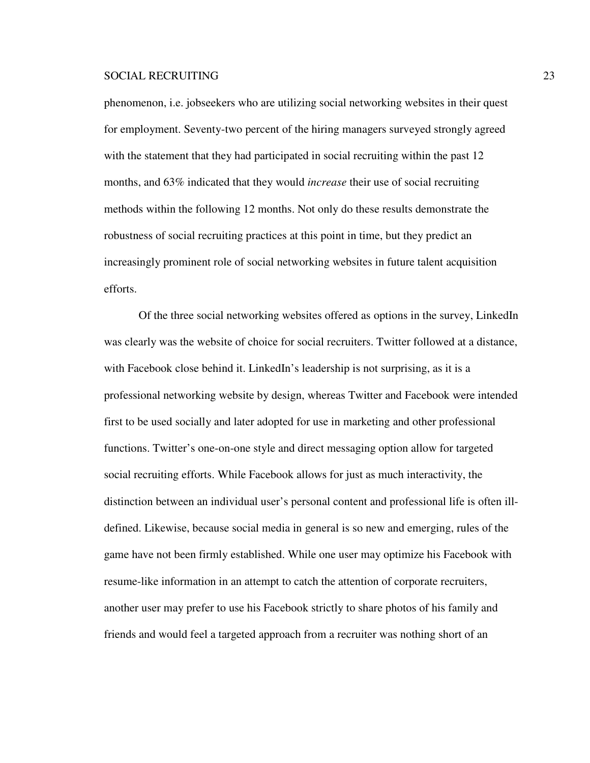phenomenon, i.e. jobseekers who are utilizing social networking websites in their quest for employment. Seventy-two percent of the hiring managers surveyed strongly agreed with the statement that they had participated in social recruiting within the past 12 months, and 63% indicated that they would *increase* their use of social recruiting methods within the following 12 months. Not only do these results demonstrate the robustness of social recruiting practices at this point in time, but they predict an increasingly prominent role of social networking websites in future talent acquisition efforts.

Of the three social networking websites offered as options in the survey, LinkedIn was clearly was the website of choice for social recruiters. Twitter followed at a distance, with Facebook close behind it. LinkedIn's leadership is not surprising, as it is a professional networking website by design, whereas Twitter and Facebook were intended first to be used socially and later adopted for use in marketing and other professional functions. Twitter's one-on-one style and direct messaging option allow for targeted social recruiting efforts. While Facebook allows for just as much interactivity, the distinction between an individual user's personal content and professional life is often illdefined. Likewise, because social media in general is so new and emerging, rules of the game have not been firmly established. While one user may optimize his Facebook with resume-like information in an attempt to catch the attention of corporate recruiters, another user may prefer to use his Facebook strictly to share photos of his family and friends and would feel a targeted approach from a recruiter was nothing short of an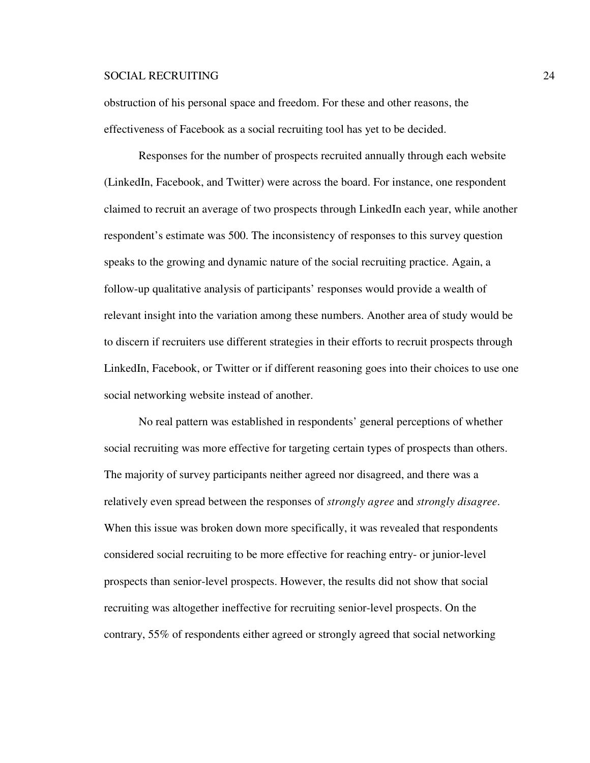obstruction of his personal space and freedom. For these and other reasons, the effectiveness of Facebook as a social recruiting tool has yet to be decided.

Responses for the number of prospects recruited annually through each website (LinkedIn, Facebook, and Twitter) were across the board. For instance, one respondent claimed to recruit an average of two prospects through LinkedIn each year, while another respondent's estimate was 500. The inconsistency of responses to this survey question speaks to the growing and dynamic nature of the social recruiting practice. Again, a follow-up qualitative analysis of participants' responses would provide a wealth of relevant insight into the variation among these numbers. Another area of study would be to discern if recruiters use different strategies in their efforts to recruit prospects through LinkedIn, Facebook, or Twitter or if different reasoning goes into their choices to use one social networking website instead of another.

 No real pattern was established in respondents' general perceptions of whether social recruiting was more effective for targeting certain types of prospects than others. The majority of survey participants neither agreed nor disagreed, and there was a relatively even spread between the responses of *strongly agree* and *strongly disagree*. When this issue was broken down more specifically, it was revealed that respondents considered social recruiting to be more effective for reaching entry- or junior-level prospects than senior-level prospects. However, the results did not show that social recruiting was altogether ineffective for recruiting senior-level prospects. On the contrary, 55% of respondents either agreed or strongly agreed that social networking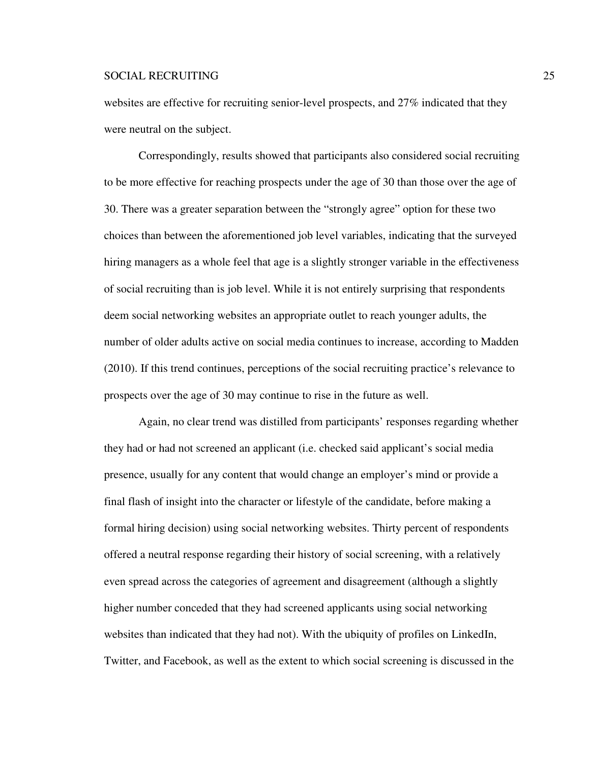websites are effective for recruiting senior-level prospects, and 27% indicated that they were neutral on the subject.

Correspondingly, results showed that participants also considered social recruiting to be more effective for reaching prospects under the age of 30 than those over the age of 30. There was a greater separation between the "strongly agree" option for these two choices than between the aforementioned job level variables, indicating that the surveyed hiring managers as a whole feel that age is a slightly stronger variable in the effectiveness of social recruiting than is job level. While it is not entirely surprising that respondents deem social networking websites an appropriate outlet to reach younger adults, the number of older adults active on social media continues to increase, according to Madden (2010). If this trend continues, perceptions of the social recruiting practice's relevance to prospects over the age of 30 may continue to rise in the future as well.

 Again, no clear trend was distilled from participants' responses regarding whether they had or had not screened an applicant (i.e. checked said applicant's social media presence, usually for any content that would change an employer's mind or provide a final flash of insight into the character or lifestyle of the candidate, before making a formal hiring decision) using social networking websites. Thirty percent of respondents offered a neutral response regarding their history of social screening, with a relatively even spread across the categories of agreement and disagreement (although a slightly higher number conceded that they had screened applicants using social networking websites than indicated that they had not). With the ubiquity of profiles on LinkedIn, Twitter, and Facebook, as well as the extent to which social screening is discussed in the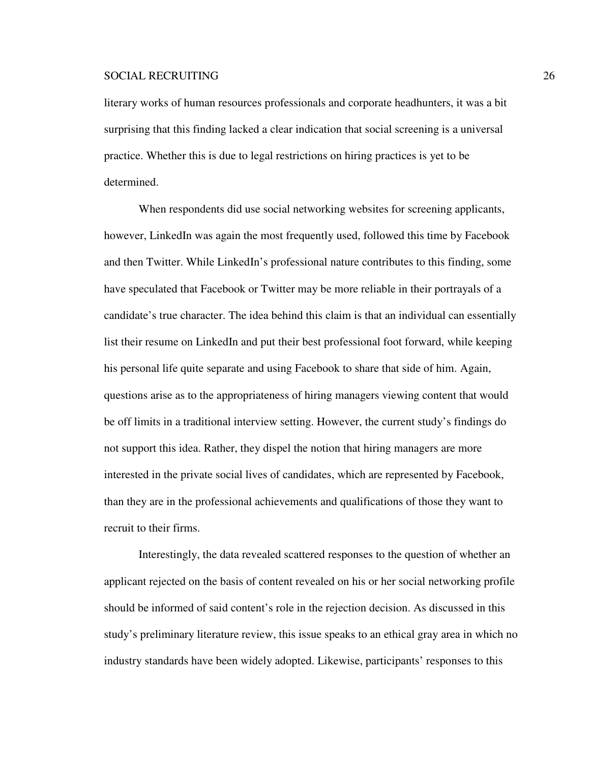literary works of human resources professionals and corporate headhunters, it was a bit surprising that this finding lacked a clear indication that social screening is a universal practice. Whether this is due to legal restrictions on hiring practices is yet to be determined.

 When respondents did use social networking websites for screening applicants, however, LinkedIn was again the most frequently used, followed this time by Facebook and then Twitter. While LinkedIn's professional nature contributes to this finding, some have speculated that Facebook or Twitter may be more reliable in their portrayals of a candidate's true character. The idea behind this claim is that an individual can essentially list their resume on LinkedIn and put their best professional foot forward, while keeping his personal life quite separate and using Facebook to share that side of him. Again, questions arise as to the appropriateness of hiring managers viewing content that would be off limits in a traditional interview setting. However, the current study's findings do not support this idea. Rather, they dispel the notion that hiring managers are more interested in the private social lives of candidates, which are represented by Facebook, than they are in the professional achievements and qualifications of those they want to recruit to their firms.

Interestingly, the data revealed scattered responses to the question of whether an applicant rejected on the basis of content revealed on his or her social networking profile should be informed of said content's role in the rejection decision. As discussed in this study's preliminary literature review, this issue speaks to an ethical gray area in which no industry standards have been widely adopted. Likewise, participants' responses to this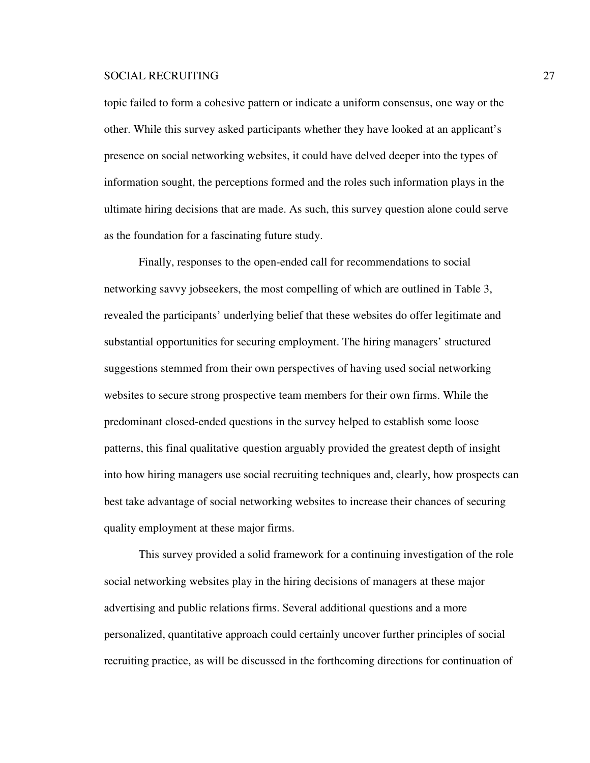topic failed to form a cohesive pattern or indicate a uniform consensus, one way or the other. While this survey asked participants whether they have looked at an applicant's presence on social networking websites, it could have delved deeper into the types of information sought, the perceptions formed and the roles such information plays in the ultimate hiring decisions that are made. As such, this survey question alone could serve as the foundation for a fascinating future study.

Finally, responses to the open-ended call for recommendations to social networking savvy jobseekers, the most compelling of which are outlined in Table 3, revealed the participants' underlying belief that these websites do offer legitimate and substantial opportunities for securing employment. The hiring managers' structured suggestions stemmed from their own perspectives of having used social networking websites to secure strong prospective team members for their own firms. While the predominant closed-ended questions in the survey helped to establish some loose patterns, this final qualitative question arguably provided the greatest depth of insight into how hiring managers use social recruiting techniques and, clearly, how prospects can best take advantage of social networking websites to increase their chances of securing quality employment at these major firms.

This survey provided a solid framework for a continuing investigation of the role social networking websites play in the hiring decisions of managers at these major advertising and public relations firms. Several additional questions and a more personalized, quantitative approach could certainly uncover further principles of social recruiting practice, as will be discussed in the forthcoming directions for continuation of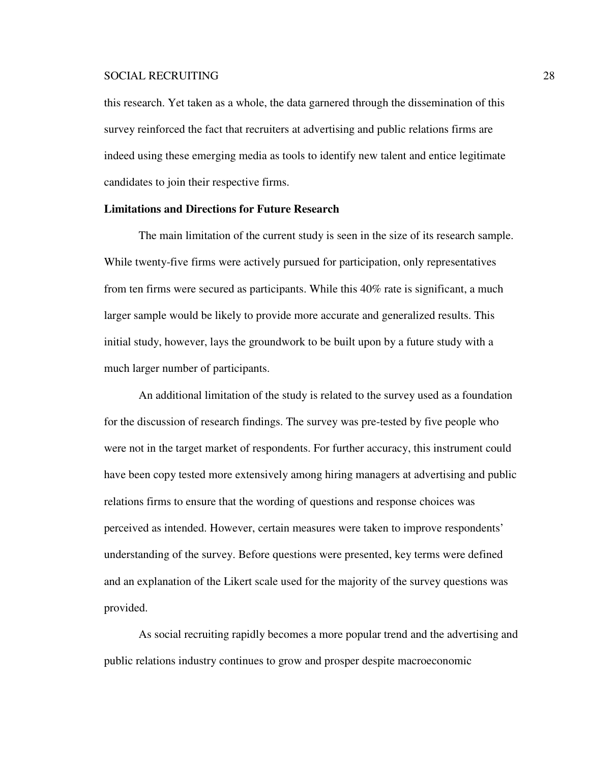this research. Yet taken as a whole, the data garnered through the dissemination of this survey reinforced the fact that recruiters at advertising and public relations firms are indeed using these emerging media as tools to identify new talent and entice legitimate candidates to join their respective firms.

### **Limitations and Directions for Future Research**

 The main limitation of the current study is seen in the size of its research sample. While twenty-five firms were actively pursued for participation, only representatives from ten firms were secured as participants. While this 40% rate is significant, a much larger sample would be likely to provide more accurate and generalized results. This initial study, however, lays the groundwork to be built upon by a future study with a much larger number of participants.

An additional limitation of the study is related to the survey used as a foundation for the discussion of research findings. The survey was pre-tested by five people who were not in the target market of respondents. For further accuracy, this instrument could have been copy tested more extensively among hiring managers at advertising and public relations firms to ensure that the wording of questions and response choices was perceived as intended. However, certain measures were taken to improve respondents' understanding of the survey. Before questions were presented, key terms were defined and an explanation of the Likert scale used for the majority of the survey questions was provided.

 As social recruiting rapidly becomes a more popular trend and the advertising and public relations industry continues to grow and prosper despite macroeconomic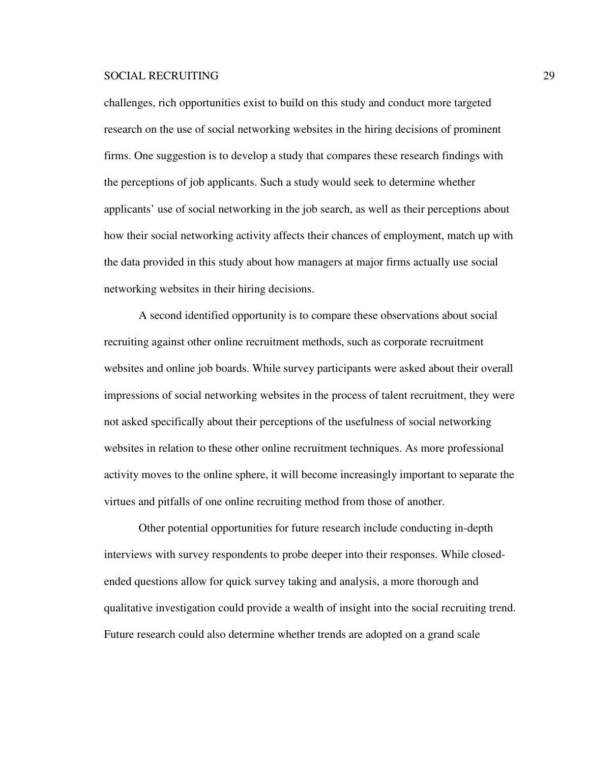challenges, rich opportunities exist to build on this study and conduct more targeted research on the use of social networking websites in the hiring decisions of prominent firms. One suggestion is to develop a study that compares these research findings with the perceptions of job applicants. Such a study would seek to determine whether applicants' use of social networking in the job search, as well as their perceptions about how their social networking activity affects their chances of employment, match up with the data provided in this study about how managers at major firms actually use social networking websites in their hiring decisions.

 A second identified opportunity is to compare these observations about social recruiting against other online recruitment methods, such as corporate recruitment websites and online job boards. While survey participants were asked about their overall impressions of social networking websites in the process of talent recruitment, they were not asked specifically about their perceptions of the usefulness of social networking websites in relation to these other online recruitment techniques. As more professional activity moves to the online sphere, it will become increasingly important to separate the virtues and pitfalls of one online recruiting method from those of another.

 Other potential opportunities for future research include conducting in-depth interviews with survey respondents to probe deeper into their responses. While closedended questions allow for quick survey taking and analysis, a more thorough and qualitative investigation could provide a wealth of insight into the social recruiting trend. Future research could also determine whether trends are adopted on a grand scale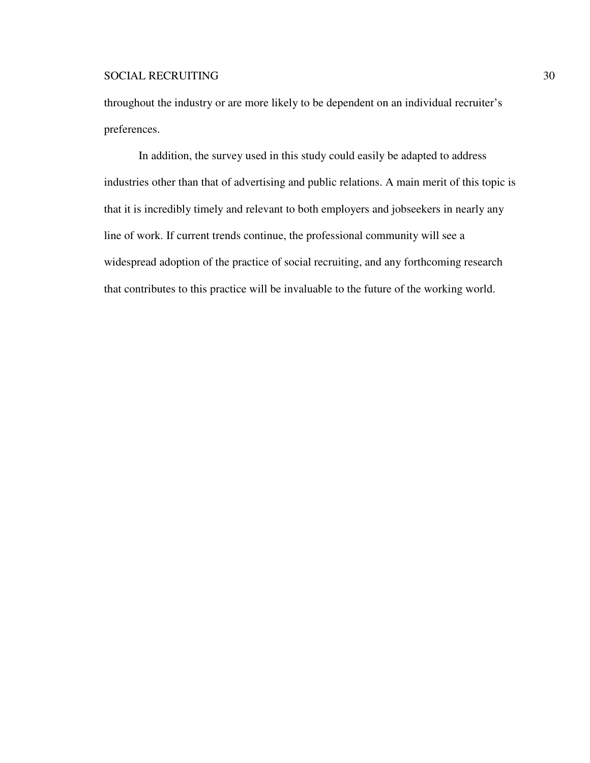throughout the industry or are more likely to be dependent on an individual recruiter's preferences.

 In addition, the survey used in this study could easily be adapted to address industries other than that of advertising and public relations. A main merit of this topic is that it is incredibly timely and relevant to both employers and jobseekers in nearly any line of work. If current trends continue, the professional community will see a widespread adoption of the practice of social recruiting, and any forthcoming research that contributes to this practice will be invaluable to the future of the working world.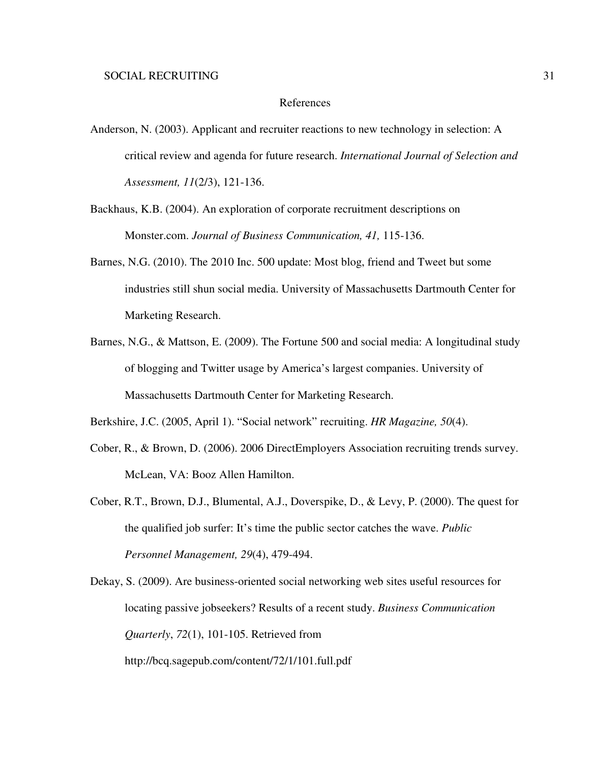### References

- Anderson, N. (2003). Applicant and recruiter reactions to new technology in selection: A critical review and agenda for future research. *International Journal of Selection and Assessment, 11*(2/3), 121-136.
- Backhaus, K.B. (2004). An exploration of corporate recruitment descriptions on Monster.com. *Journal of Business Communication, 41,* 115-136.
- Barnes, N.G. (2010). The 2010 Inc. 500 update: Most blog, friend and Tweet but some industries still shun social media. University of Massachusetts Dartmouth Center for Marketing Research.
- Barnes, N.G., & Mattson, E. (2009). The Fortune 500 and social media: A longitudinal study of blogging and Twitter usage by America's largest companies. University of Massachusetts Dartmouth Center for Marketing Research.

Berkshire, J.C. (2005, April 1). "Social network" recruiting. *HR Magazine, 50*(4).

- Cober, R., & Brown, D. (2006). 2006 DirectEmployers Association recruiting trends survey. McLean, VA: Booz Allen Hamilton.
- Cober, R.T., Brown, D.J., Blumental, A.J., Doverspike, D., & Levy, P. (2000). The quest for the qualified job surfer: It's time the public sector catches the wave. *Public Personnel Management, 29*(4), 479-494.

Dekay, S. (2009). Are business-oriented social networking web sites useful resources for locating passive jobseekers? Results of a recent study. *Business Communication Quarterly*, *72*(1), 101-105. Retrieved from http://bcq.sagepub.com/content/72/1/101.full.pdf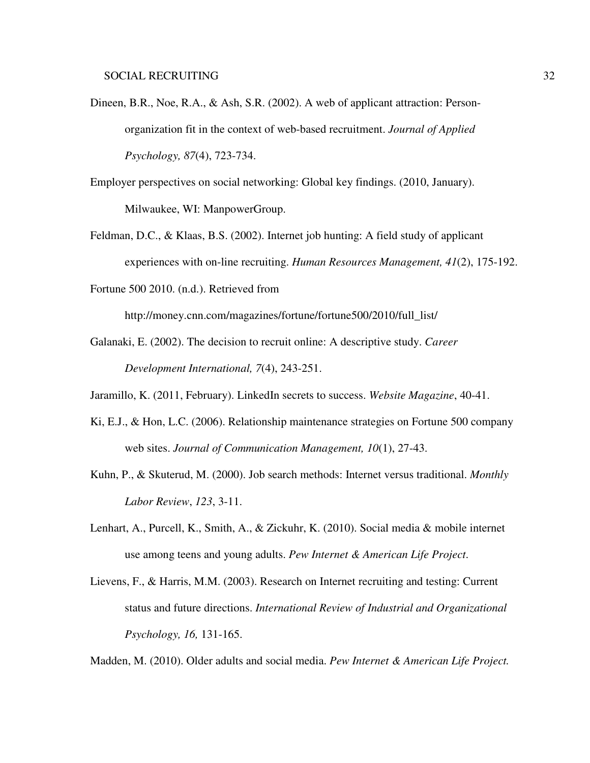- Dineen, B.R., Noe, R.A., & Ash, S.R. (2002). A web of applicant attraction: Personorganization fit in the context of web-based recruitment. *Journal of Applied Psychology, 87*(4), 723-734.
- Employer perspectives on social networking: Global key findings. (2010, January). Milwaukee, WI: ManpowerGroup.
- Feldman, D.C., & Klaas, B.S. (2002). Internet job hunting: A field study of applicant experiences with on-line recruiting. *Human Resources Management, 41*(2), 175-192.
- Fortune 500 2010. (n.d.). Retrieved from

http://money.cnn.com/magazines/fortune/fortune500/2010/full\_list/

- Galanaki, E. (2002). The decision to recruit online: A descriptive study. *Career Development International, 7*(4), 243-251.
- Jaramillo, K. (2011, February). LinkedIn secrets to success. *Website Magazine*, 40-41.
- Ki, E.J., & Hon, L.C. (2006). Relationship maintenance strategies on Fortune 500 company web sites. *Journal of Communication Management, 10*(1), 27-43.
- Kuhn, P., & Skuterud, M. (2000). Job search methods: Internet versus traditional. *Monthly Labor Review*, *123*, 3-11.
- Lenhart, A., Purcell, K., Smith, A., & Zickuhr, K. (2010). Social media & mobile internet use among teens and young adults. *Pew Internet & American Life Project*.
- Lievens, F., & Harris, M.M. (2003). Research on Internet recruiting and testing: Current status and future directions. *International Review of Industrial and Organizational Psychology, 16,* 131-165.

Madden, M. (2010). Older adults and social media. *Pew Internet & American Life Project.*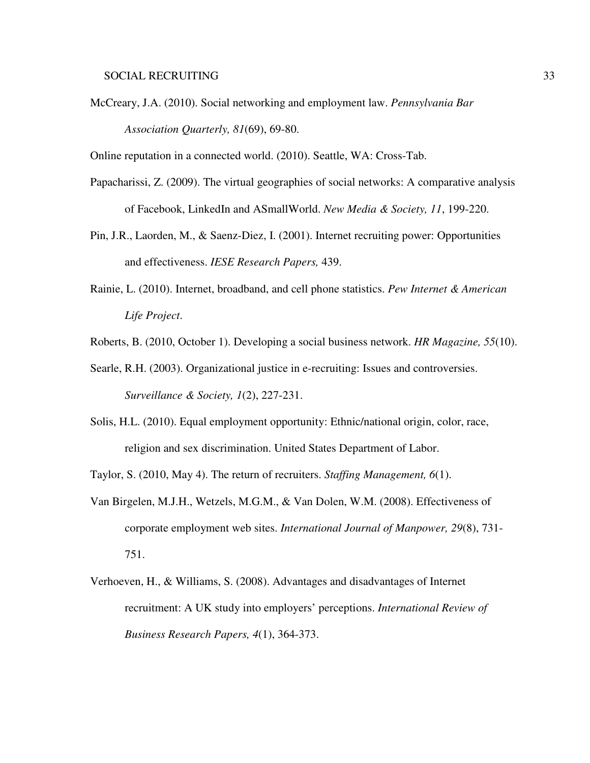McCreary, J.A. (2010). Social networking and employment law. *Pennsylvania Bar Association Quarterly, 81*(69), 69-80.

Online reputation in a connected world. (2010). Seattle, WA: Cross-Tab.

- Papacharissi, Z. (2009). The virtual geographies of social networks: A comparative analysis of Facebook, LinkedIn and ASmallWorld. *New Media & Society, 11*, 199-220.
- Pin, J.R., Laorden, M., & Saenz-Diez, I. (2001). Internet recruiting power: Opportunities and effectiveness. *IESE Research Papers,* 439.
- Rainie, L. (2010). Internet, broadband, and cell phone statistics. *Pew Internet & American Life Project*.
- Roberts, B. (2010, October 1). Developing a social business network. *HR Magazine, 55*(10).
- Searle, R.H. (2003). Organizational justice in e-recruiting: Issues and controversies. *Surveillance & Society, 1*(2), 227-231.
- Solis, H.L. (2010). Equal employment opportunity: Ethnic/national origin, color, race, religion and sex discrimination. United States Department of Labor.

Taylor, S. (2010, May 4). The return of recruiters. *Staffing Management, 6*(1).

- Van Birgelen, M.J.H., Wetzels, M.G.M., & Van Dolen, W.M. (2008). Effectiveness of corporate employment web sites. *International Journal of Manpower, 29*(8), 731- 751.
- Verhoeven, H., & Williams, S. (2008). Advantages and disadvantages of Internet recruitment: A UK study into employers' perceptions. *International Review of Business Research Papers, 4*(1), 364-373.